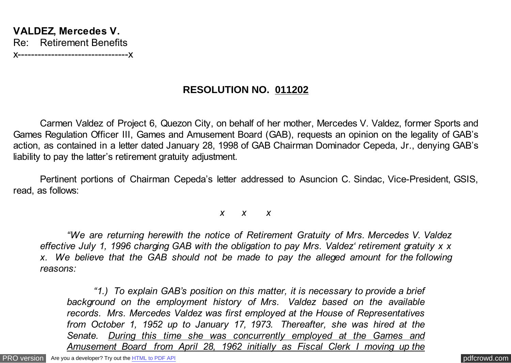# **RESOLUTION NO. 011202**

Carmen Valdez of Project 6, Quezon City, on behalf of her mother, Mercedes V. Valdez, former Sports and Games Regulation Officer III, Games and Amusement Board (GAB), requests an opinion on the legality of GAB's action, as contained in a letter dated January 28, 1998 of GAB Chairman Dominador Cepeda, Jr., denying GAB's liability to pay the latter's retirement gratuity adjustment.

Pertinent portions of Chairman Cepeda's letter addressed to Asuncion C. Sindac, Vice-President, GSIS, read, as follows:

*x x x*

*"We are returning herewith the notice of Retirement Gratuity of Mrs. Mercedes V. Valdez effective July 1, 1996 charging GAB with the obligation to pay Mrs. Valdez' retirement gratuity x x x. We believe that the GAB should not be made to pay the alleged amount for the following reasons:*

*"1.) To explain GAB's position on this matter, it is necessary to provide a brief background on the employment history of Mrs. Valdez based on the available records. Mrs. Mercedes Valdez was first employed at the House of Representatives from October 1, 1952 up to January 17, 1973. Thereafter, she was hired at the Senate. During this time she was concurrently employed at the Games and Amusement Board from April 28, 1962 initially as Fiscal Clerk I moving up the*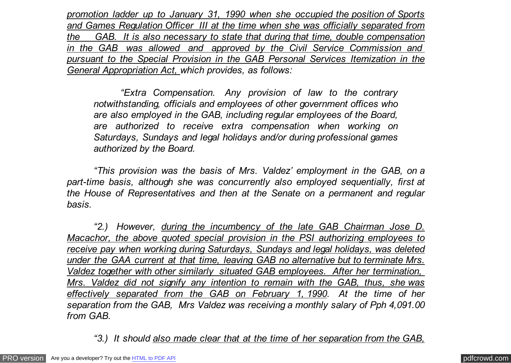*promotion ladder up to January 31, 1990 when she occupied the position of Sports and Games Regulation Officer III at the time when she was officially separated from the GAB. It is also necessary to state that during that time, double compensation in the GAB was allowed and approved by the Civil Service Commission and pursuant to the Special Provision in the GAB Personal Services Itemization in the General Appropriation Act, which provides, as follows:*

*"Extra Compensation. Any provision of law to the contrary notwithstanding, officials and employees of other government offices who are also employed in the GAB, including regular employees of the Board, are authorized to receive extra compensation when working on Saturdays, Sundays and legal holidays and/or during professional games authorized by the Board.*

*"This provision was the basis of Mrs. Valdez' employment in the GAB, on a part-time basis, although she was concurrently also employed sequentially, first at the House of Representatives and then at the Senate on a permanent and regular basis.*

*"2.) However, during the incumbency of the late GAB Chairman Jose D. Macachor, the above quoted special provision in the PSI authorizing employees to receive pay when working during Saturdays, Sundays and legal holidays, was deleted under the GAA current at that time, leaving GAB no alternative but to terminate Mrs. Valdez together with other similarly situated GAB employees. After her termination, Mrs. Valdez did not signify any intention to remain with the GAB, thus, she was effectively separated from the GAB on February 1, 1990. At the time of her separation from the GAB, Mrs Valdez was receiving a monthly salary of Pph 4,091.00 from GAB.*

*"3.) It should also made clear that at the time of her separation from the GAB,*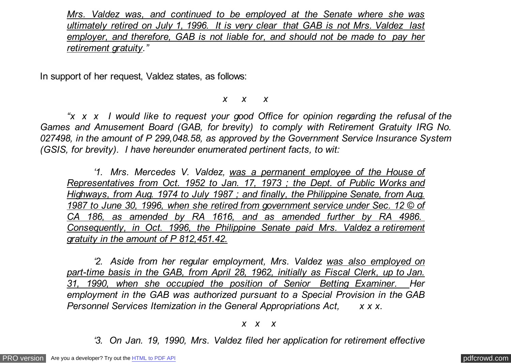*Mrs. Valdez was, and continued to be employed at the Senate where she was ultimately retired on July 1, 1996. It is very clear that GAB is not Mrs. Valdez last employer, and therefore, GAB is not liable for, and should not be made to pay her retirement gratuity."*

In support of her request, Valdez states, as follows:

#### *x x x*

*"x x x I would like to request your good Office for opinion regarding the refusal of the Games and Amusement Board (GAB, for brevity) to comply with Retirement Gratuity IRG No. 027498, in the amount of P 299,048.58, as approved by the Government Service Insurance System (GSIS, for brevity). I have hereunder enumerated pertinent facts, to wit:*

*'1. Mrs. Mercedes V. Valdez, was a permanent employee of the House of Representatives from Oct. 1952 to Jan. 17, 1973 ; the Dept. of Public Works and Highways, from Aug. 1974 to July 1987 ; and finally, the Philippine Senate, from Aug. 1987 to June 30, 1996, when she retired from government service under Sec. 12 © of CA 186, as amended by RA 1616, and as amended further by RA 4986. Consequently, in Oct. 1996, the Philippine Senate paid Mrs. Valdez a retirement gratuity in the amount of P 812,451.42.*

*'2. Aside from her regular employment, Mrs. Valdez was also employed on part-time basis in the GAB, from April 28, 1962, initially as Fiscal Clerk, up to Jan. 31, 1990, when she occupied the position of Senior Betting Examiner. Her employment in the GAB was authorized pursuant to a Special Provision in the GAB Personnel Services Itemization in the General Appropriations Act, x x x.*

#### *x x x*

*'3. On Jan. 19, 1990, Mrs. Valdez filed her application for retirement effective*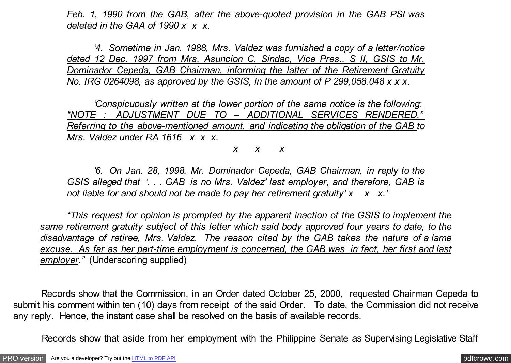*Feb. 1, 1990 from the GAB, after the above-quoted provision in the GAB PSI was deleted in the GAA of 1990 x x x.*

*'4. Sometime in Jan. 1988, Mrs. Valdez was furnished a copy of a letter/notice dated 12 Dec. 1997 from Mrs. Asuncion C. Sindac, Vice Pres., S II, GSIS to Mr. Dominador Cepeda, GAB Chairman, informing the latter of the Retirement Gratuity No. IRG 0264098, as approved by the GSIS, in the amount of P 299,058.048 x x x.*

*'Conspicuously written at the lower portion of the same notice is the following: "NOTE : ADJUSTMENT DUE TO – ADDITIONAL SERVICES RENDERED." Referring to the above-mentioned amount, and indicating the obligation of the GAB to Mrs. Valdez under RA 1616 x x x.*

*x x x*

*'6. On Jan. 28, 1998, Mr. Dominador Cepeda, GAB Chairman, in reply to the GSIS alleged that '. . . GAB is no Mrs. Valdez' last employer, and therefore, GAB is* not liable for and should not be made to pay her retirement gratuity' x x x.'

*"This request for opinion is prompted by the apparent inaction of the GSIS to implement the same retirement gratuity subject of this letter which said body approved four years to date, to the disadvantage of retiree, Mrs. Valdez. The reason cited by the GAB takes the nature of a lame excuse. As far as her part-time employment is concerned, the GAB was in fact, her first and last employer."* (Underscoring supplied)

 Records show that the Commission, in an Order dated October 25, 2000, requested Chairman Cepeda to submit his comment within ten (10) days from receipt of the said Order. To date, the Commission did not receive any reply. Hence, the instant case shall be resolved on the basis of available records.

Records show that aside from her employment with the Philippine Senate as Supervising Legislative Staff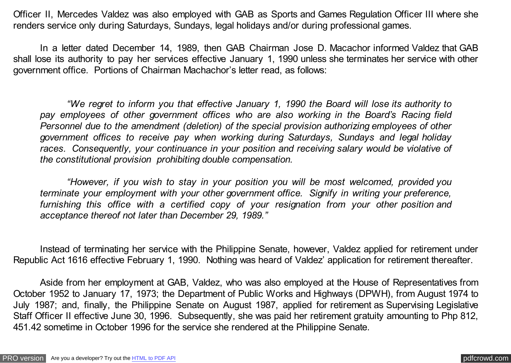Officer II, Mercedes Valdez was also employed with GAB as Sports and Games Regulation Officer III where she renders service only during Saturdays, Sundays, legal holidays and/or during professional games.

In a letter dated December 14, 1989, then GAB Chairman Jose D. Macachor informed Valdez that GAB shall lose its authority to pay her services effective January 1, 1990 unless she terminates her service with other government office. Portions of Chairman Machachor's letter read, as follows:

*"We regret to inform you that effective January 1, 1990 the Board will lose its authority to pay employees of other government offices who are also working in the Board's Racing field Personnel due to the amendment (deletion) of the special provision authorizing employees of other government offices to receive pay when working during Saturdays, Sundays and legal holiday races. Consequently, your continuance in your position and receiving salary would be violative of the constitutional provision prohibiting double compensation.*

*"However, if you wish to stay in your position you will be most welcomed, provided you terminate your employment with your other government office. Signify in writing your preference, furnishing this office with a certified copy of your resignation from your other position and acceptance thereof not later than December 29, 1989."*

Instead of terminating her service with the Philippine Senate, however, Valdez applied for retirement under Republic Act 1616 effective February 1, 1990. Nothing was heard of Valdez' application for retirement thereafter.

Aside from her employment at GAB, Valdez, who was also employed at the House of Representatives from October 1952 to January 17, 1973; the Department of Public Works and Highways (DPWH), from August 1974 to July 1987; and, finally, the Philippine Senate on August 1987, applied for retirement as Supervising Legislative Staff Officer II effective June 30, 1996. Subsequently, she was paid her retirement gratuity amounting to Php 812, 451.42 sometime in October 1996 for the service she rendered at the Philippine Senate.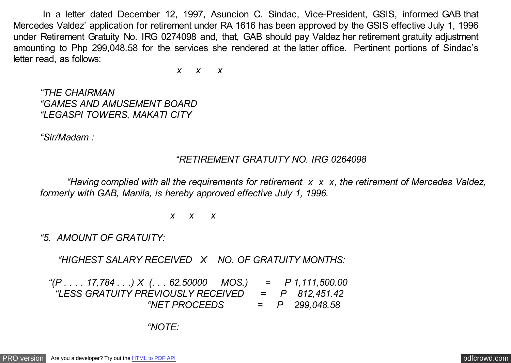In a letter dated December 12, 1997, Asuncion C. Sindac, Vice-President, GSIS, informed GAB that Mercedes Valdez' application for retirement under RA 1616 has been approved by the GSIS effective July 1, 1996 under Retirement Gratuity No. IRG 0274098 and, that, GAB should pay Valdez her retirement gratuity adjustment amounting to Php 299,048.58 for the services she rendered at the latter office. Pertinent portions of Sindac's letter read, as follows:

 *x x x*

*"THE CHAIRMAN "GAMES AND AMUSEMENT BOARD "LEGASPI TOWERS, MAKATI CITY*

*"Sir/Madam :*

### *"RETIREMENT GRATUITY NO. IRG 0264098*

*"Having complied with all the requirements for retirement x x x, the retirement of Mercedes Valdez, formerly with GAB, Manila, is hereby approved effective July 1, 1996.*

 *x x x*

*"5. AMOUNT OF GRATUITY:*

 *"HIGHEST SALARY RECEIVED X NO. OF GRATUITY MONTHS:*

 *"(P . . . . 17,784 . . .) X (. . . 62.50000 MOS.) = P 1,111,500.00 "LESS GRATUITY PREVIOUSLY RECEIVED = P 812,451.42 "NET PROCEEDS = P 299,048.58*

### *"NOTE:*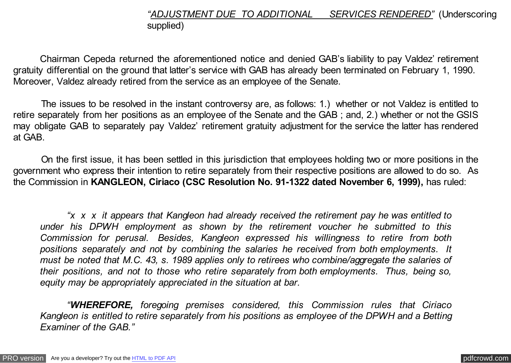# *"ADJUSTMENT DUE TO ADDITIONAL SERVICES RENDERED"* (Underscoring supplied)

Chairman Cepeda returned the aforementioned notice and denied GAB's liability to pay Valdez' retirement gratuity differential on the ground that latter's service with GAB has already been terminated on February 1, 1990. Moreover, Valdez already retired from the service as an employee of the Senate.

 The issues to be resolved in the instant controversy are, as follows: 1.) whether or not Valdez is entitled to retire separately from her positions as an employee of the Senate and the GAB ; and, 2.) whether or not the GSIS may obligate GAB to separately pay Valdez' retirement gratuity adjustment for the service the latter has rendered at GAB.

 On the first issue, it has been settled in this jurisdiction that employees holding two or more positions in the government who express their intention to retire separately from their respective positions are allowed to do so. As the Commission in **KANGLEON, Ciriaco (CSC Resolution No. 91-1322 dated November 6, 1999),** has ruled:

*"x x x it appears that Kangleon had already received the retirement pay he was entitled to under his DPWH employment as shown by the retirement voucher he submitted to this Commission for perusal. Besides, Kangleon expressed his willingness to retire from both positions separately and not by combining the salaries he received from both employments. It must be noted that M.C. 43, s. 1989 applies only to retirees who combine/aggregate the salaries of their positions, and not to those who retire separately from both employments. Thus, being so, equity may be appropriately appreciated in the situation at bar.*

*"WHEREFORE, foregoing premises considered, this Commission rules that Ciriaco Kangleon is entitled to retire separately from his positions as employee of the DPWH and a Betting Examiner of the GAB."*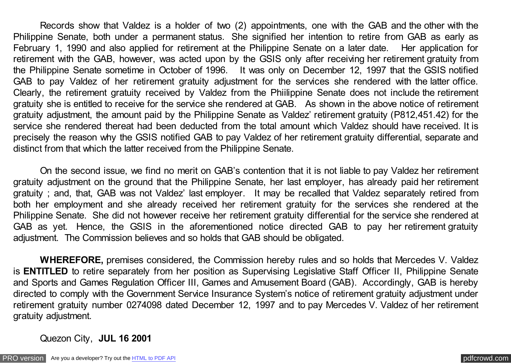Records show that Valdez is a holder of two (2) appointments, one with the GAB and the other with the Philippine Senate, both under a permanent status. She signified her intention to retire from GAB as early as February 1, 1990 and also applied for retirement at the Philippine Senate on a later date. Her application for retirement with the GAB, however, was acted upon by the GSIS only after receiving her retirement gratuity from the Philippine Senate sometime in October of 1996. It was only on December 12, 1997 that the GSIS notified GAB to pay Valdez of her retirement gratuity adjustment for the services she rendered with the latter office. Clearly, the retirement gratuity received by Valdez from the Phiilippine Senate does not include the retirement gratuity she is entitled to receive for the service she rendered at GAB. As shown in the above notice of retirement gratuity adjustment, the amount paid by the Philippine Senate as Valdez' retirement gratuity (P812,451.42) for the service she rendered thereat had been deducted from the total amount which Valdez should have received. It is precisely the reason why the GSIS notified GAB to pay Valdez of her retirement gratuity differential, separate and distinct from that which the latter received from the Philippine Senate.

On the second issue, we find no merit on GAB's contention that it is not liable to pay Valdez her retirement gratuity adjustment on the ground that the Philippine Senate, her last employer, has already paid her retirement gratuity ; and, that, GAB was not Valdez' last employer. It may be recalled that Valdez separately retired from both her employment and she already received her retirement gratuity for the services she rendered at the Philippine Senate. She did not however receive her retirement gratuity differential for the service she rendered at GAB as yet. Hence, the GSIS in the aforementioned notice directed GAB to pay her retirement gratuity adjustment. The Commission believes and so holds that GAB should be obligated.

**WHEREFORE,** premises considered, the Commission hereby rules and so holds that Mercedes V. Valdez is **ENTITLED** to retire separately from her position as Supervising Legislative Staff Officer II, Philippine Senate and Sports and Games Regulation Officer III, Games and Amusement Board (GAB). Accordingly, GAB is hereby directed to comply with the Government Service Insurance System's notice of retirement gratuity adjustment under retirement gratuity number 0274098 dated December 12, 1997 and to pay Mercedes V. Valdez of her retirement gratuity adjustment.

Quezon City, **JUL 16 2001**